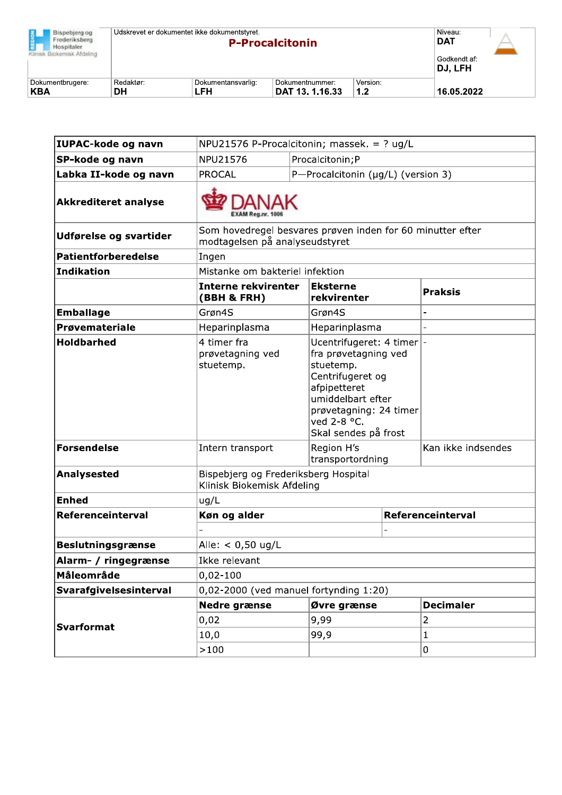| Udskrevet er dokumentet ikke dokumentstyret.<br>Bispebierg og<br>Frederiksberg<br><b>P-Procalcitonin</b><br>Hospitaler. |                         |                           |                                    |                 | Niveau:<br><b>DAT</b> |  |
|-------------------------------------------------------------------------------------------------------------------------|-------------------------|---------------------------|------------------------------------|-----------------|-----------------------|--|
| Klinisk Biokemisk Afdeling                                                                                              | Godkendt af:<br>DJ. LFH |                           |                                    |                 |                       |  |
| Dokumentbrugere:<br><b>KBA</b>                                                                                          | Redaktør:<br>DН         | Dokumentansvarlig:<br>LFH | Dokumentnummer:<br>DAT 13. 1.16.33 | Version:<br>1.2 | 16.05.2022            |  |

| <b>IUPAC-kode og navn</b>   | NPU21576 P-Procalcitonin; massek. = $?$ ug/L                                                 |                                                                                                                                                                                        |  |                    |  |
|-----------------------------|----------------------------------------------------------------------------------------------|----------------------------------------------------------------------------------------------------------------------------------------------------------------------------------------|--|--------------------|--|
| SP-kode og navn             | NPU21576                                                                                     | Procalcitonin;P                                                                                                                                                                        |  |                    |  |
| Labka II-kode og navn       | <b>PROCAL</b>                                                                                | P-Procalcitonin (µg/L) (version 3)                                                                                                                                                     |  |                    |  |
| <b>Akkrediteret analyse</b> |                                                                                              |                                                                                                                                                                                        |  |                    |  |
| Udførelse og svartider      | Som hovedregel besvares prøven inden for 60 minutter efter<br>modtagelsen på analyseudstyret |                                                                                                                                                                                        |  |                    |  |
| <b>Patientforberedelse</b>  | Ingen                                                                                        |                                                                                                                                                                                        |  |                    |  |
| <b>Indikation</b>           | Mistanke om bakteriel infektion                                                              |                                                                                                                                                                                        |  |                    |  |
|                             | Interne rekvirenter<br>(BBH & FRH)                                                           | <b>Eksterne</b><br>rekvirenter                                                                                                                                                         |  | <b>Praksis</b>     |  |
| <b>Emballage</b>            | Grøn4S<br>Grøn4S                                                                             |                                                                                                                                                                                        |  |                    |  |
| <b>Prøvemateriale</b>       | Heparinplasma                                                                                | Heparinplasma                                                                                                                                                                          |  |                    |  |
| <b>Holdbarhed</b>           | 4 timer fra<br>prøvetagning ved<br>stuetemp.                                                 | Ucentrifugeret: 4 timer<br>fra prøvetagning ved<br>stuetemp.<br>Centrifugeret og<br>afpipetteret<br>umiddelbart efter<br>prøvetagning: 24 timer<br>ved 2-8 °C.<br>Skal sendes på frost |  |                    |  |
| <b>Forsendelse</b>          | Intern transport                                                                             | Region H's<br>transportordning                                                                                                                                                         |  | Kan ikke indsendes |  |
| Analysested                 | Bispebjerg og Frederiksberg Hospital<br>Klinisk Biokemisk Afdeling                           |                                                                                                                                                                                        |  |                    |  |
| <b>Enhed</b>                | ug/L                                                                                         |                                                                                                                                                                                        |  |                    |  |
| Referenceinterval           | Køn og alder                                                                                 |                                                                                                                                                                                        |  | Referenceinterval  |  |
|                             |                                                                                              |                                                                                                                                                                                        |  |                    |  |
| <b>Beslutningsgrænse</b>    | Alle: $< 0,50$ ug/L                                                                          |                                                                                                                                                                                        |  |                    |  |
| Alarm- / ringegrænse        | Ikke relevant                                                                                |                                                                                                                                                                                        |  |                    |  |
| Måleområde                  | $0,02 - 100$                                                                                 |                                                                                                                                                                                        |  |                    |  |
| Svarafgivelsesinterval      | 0,02-2000 (ved manuel fortynding 1:20)                                                       |                                                                                                                                                                                        |  |                    |  |
|                             | Nedre grænse                                                                                 | Øvre grænse                                                                                                                                                                            |  | <b>Decimaler</b>   |  |
| <b>Svarformat</b>           | 0,02                                                                                         | 9,99                                                                                                                                                                                   |  | $\overline{2}$     |  |
|                             | 10,0                                                                                         | 99,9                                                                                                                                                                                   |  | $\mathbf{1}$       |  |
|                             | >100                                                                                         |                                                                                                                                                                                        |  | 0                  |  |